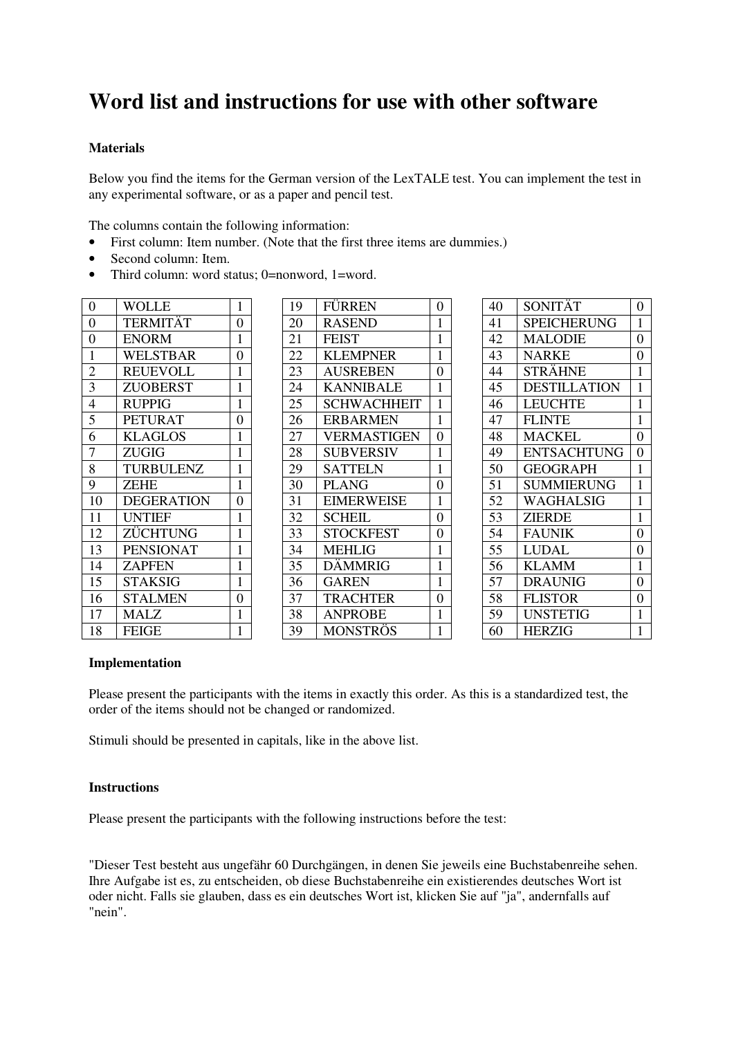# **Word list and instructions for use with other software**

## **Materials**

Below you find the items for the German version of the LexTALE test. You can implement the test in any experimental software, or as a paper and pencil test.

The columns contain the following information:

- First column: Item number. (Note that the first three items are dummies.)
- Second column: Item.
- Third column: word status; 0=nonword, 1=word.

| $\overline{0}$ | <b>WOLLE</b>      | 1              |
|----------------|-------------------|----------------|
| 0              | TERMITÄT          | 0              |
| $\overline{0}$ | <b>ENORM</b>      | $\mathbf{1}$   |
| $\mathbf{1}$   | <b>WELSTBAR</b>   | 0              |
| $\overline{2}$ | <b>REUEVOLL</b>   | $\mathbf{1}$   |
| $\overline{3}$ | <b>ZUOBERST</b>   | $\mathbf{1}$   |
| $\overline{4}$ | <b>RUPPIG</b>     | $\mathbf{1}$   |
| 5              | <b>PETURAT</b>    | 0              |
| 6              | <b>KLAGLOS</b>    | 1              |
| $\overline{7}$ | <b>ZUGIG</b>      | $\mathbf{1}$   |
| $\overline{8}$ | <b>TURBULENZ</b>  | $\mathbf 1$    |
| 9              | <b>ZEHE</b>       | $\mathbf{1}$   |
| 10             | <b>DEGERATION</b> | 0              |
| 11             | <b>UNTIEF</b>     | $\mathbf{1}$   |
| 12             | ZÜCHTUNG          | $\mathbf 1$    |
| 13             | <b>PENSIONAT</b>  | $\mathbf{1}$   |
| 14             | <b>ZAPFEN</b>     | $\mathbf{1}$   |
| 15             | <b>STAKSIG</b>    | $\mathbf 1$    |
| 16             | <b>STALMEN</b>    | $\overline{0}$ |
| 17             | MALZ              | 1              |
| 18             | <b>FEIGE</b>      | $\mathbf{1}$   |

| 19 | <b>FÜRREN</b>      | $\overline{0}$ |
|----|--------------------|----------------|
| 20 | <b>RASEND</b>      | $\mathbf{1}$   |
| 21 | <b>FEIST</b>       | $\mathbf 1$    |
| 22 | <b>KLEMPNER</b>    | $\mathbf{1}$   |
| 23 | <b>AUSREBEN</b>    | $\overline{0}$ |
| 24 | <b>KANNIBALE</b>   | $\mathbf{1}$   |
| 25 | <b>SCHWACHHEIT</b> | $\mathbf 1$    |
| 26 | <b>ERBARMEN</b>    | $\mathbf{1}$   |
| 27 | <b>VERMASTIGEN</b> | $\overline{0}$ |
| 28 | <b>SUBVERSIV</b>   | $\mathbf{1}$   |
| 29 | <b>SATTELN</b>     | $\mathbf{1}$   |
| 30 | <b>PLANG</b>       | 0              |
| 31 | <b>EIMERWEISE</b>  | $\mathbf{1}$   |
| 32 | <b>SCHEIL</b>      | $\overline{0}$ |
| 33 | <b>STOCKFEST</b>   | 0              |
| 34 | <b>MEHLIG</b>      | $\mathbf{1}$   |
| 35 | <b>DÄMMRIG</b>     | 1              |
| 36 | <b>GAREN</b>       | $\mathbf{1}$   |
| 37 | <b>TRACHTER</b>    | 0              |
| 38 | <b>ANPROBE</b>     | $\mathbf{1}$   |
| 39 | <b>MONSTRÖS</b>    | $\mathbf{1}$   |

| 40 | SONITÄT             | $\overline{0}$ |
|----|---------------------|----------------|
| 41 | <b>SPEICHERUNG</b>  | $\mathbf 1$    |
| 42 | <b>MALODIE</b>      | $\overline{0}$ |
| 43 | <b>NARKE</b>        | 0              |
| 44 | STRÄHNE             | $\mathbf{1}$   |
| 45 | <b>DESTILLATION</b> | $\mathbf{1}$   |
| 46 | <b>LEUCHTE</b>      | $\mathbf{1}$   |
| 47 | <b>FLINTE</b>       | $\mathbf{1}$   |
| 48 | <b>MACKEL</b>       | 0              |
| 49 | <b>ENTSACHTUNG</b>  | 0              |
| 50 | <b>GEOGRAPH</b>     | $\mathbf 1$    |
| 51 | SUMMIERUNG          | $\mathbf{1}$   |
| 52 | WAGHALSIG           | 1              |
| 53 | <b>ZIERDE</b>       | $\mathbf 1$    |
| 54 | <b>FAUNIK</b>       | $\overline{0}$ |
| 55 | <b>LUDAL</b>        | 0              |
| 56 | <b>KLAMM</b>        | $\mathbf{1}$   |
| 57 | <b>DRAUNIG</b>      | 0              |
| 58 | <b>FLISTOR</b>      | 0              |
| 59 | <b>UNSTETIG</b>     | $\mathbf 1$    |
| 60 | <b>HERZIG</b>       | $\mathbf{1}$   |

#### **Implementation**

Please present the participants with the items in exactly this order. As this is a standardized test, the order of the items should not be changed or randomized.

Stimuli should be presented in capitals, like in the above list.

#### **Instructions**

Please present the participants with the following instructions before the test:

"Dieser Test besteht aus ungefähr 60 Durchgängen, in denen Sie jeweils eine Buchstabenreihe sehen. Ihre Aufgabe ist es, zu entscheiden, ob diese Buchstabenreihe ein existierendes deutsches Wort ist oder nicht. Falls sie glauben, dass es ein deutsches Wort ist, klicken Sie auf "ja", andernfalls auf "nein".